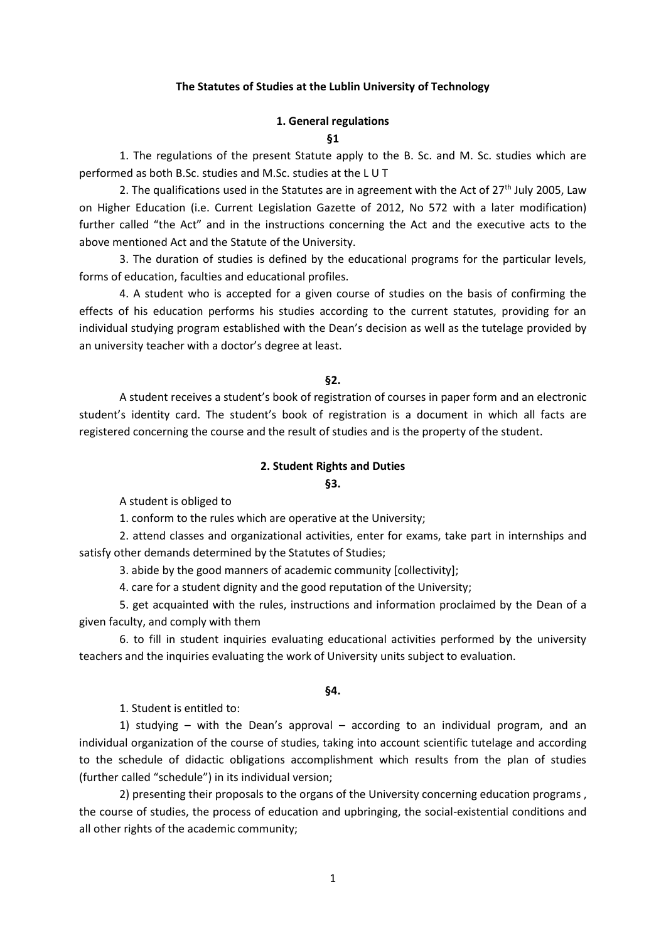#### **The Statutes of Studies at the Lublin University of Technology**

# **1. General regulations §1**

1. The regulations of the present Statute apply to the B. Sc. and M. Sc. studies which are performed as both B.Sc. studies and M.Sc. studies at the L U T

2. The qualifications used in the Statutes are in agreement with the Act of  $27<sup>th</sup>$  July 2005, Law on Higher Education (i.e. Current Legislation Gazette of 2012, No 572 with a later modification) further called "the Act" and in the instructions concerning the Act and the executive acts to the above mentioned Act and the Statute of the University.

3. The duration of studies is defined by the educational programs for the particular levels, forms of education, faculties and educational profiles.

4. A student who is accepted for a given course of studies on the basis of confirming the effects of his education performs his studies according to the current statutes, providing for an individual studying program established with the Dean's decision as well as the tutelage provided by an university teacher with a doctor's degree at least.

#### **§2.**

A student receives a student's book of registration of courses in paper form and an electronic student's identity card. The student's book of registration is a document in which all facts are registered concerning the course and the result of studies and is the property of the student.

#### **2. Student Rights and Duties**

# **§3.**

A student is obliged to

1. conform to the rules which are operative at the University;

2. attend classes and organizational activities, enter for exams, take part in internships and satisfy other demands determined by the Statutes of Studies;

3. abide by the good manners of academic community [collectivity];

4. care for a student dignity and the good reputation of the University;

5. get acquainted with the rules, instructions and information proclaimed by the Dean of a given faculty, and comply with them

6. to fill in student inquiries evaluating educational activities performed by the university teachers and the inquiries evaluating the work of University units subject to evaluation.

#### **§4.**

1. Student is entitled to:

1) studying – with the Dean's approval – according to an individual program, and an individual organization of the course of studies, taking into account scientific tutelage and according to the schedule of didactic obligations accomplishment which results from the plan of studies (further called "schedule") in its individual version;

2) presenting their proposals to the organs of the University concerning education programs , the course of studies, the process of education and upbringing, the social-existential conditions and all other rights of the academic community;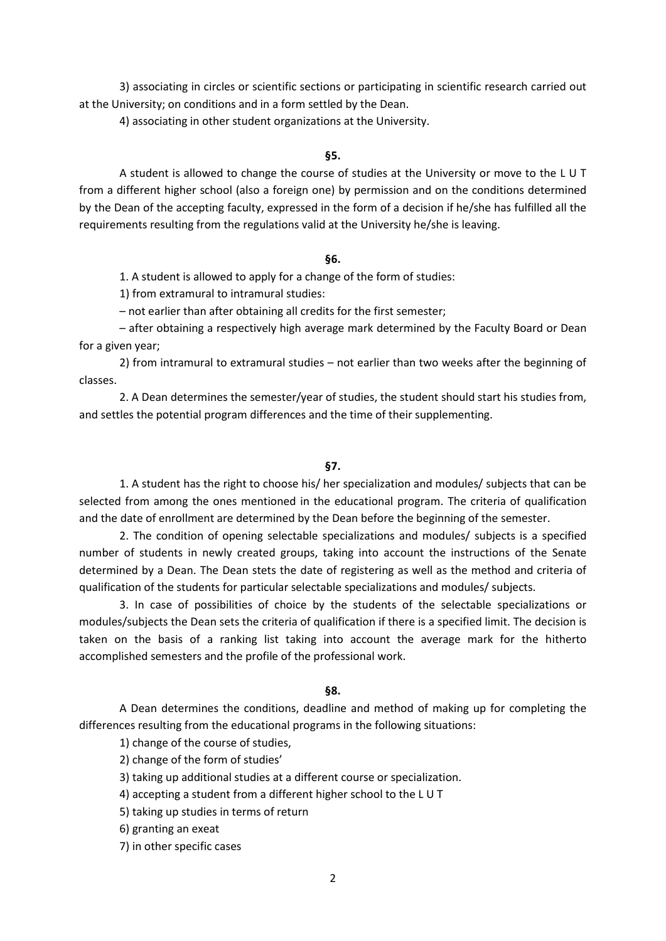3) associating in circles or scientific sections or participating in scientific research carried out at the University; on conditions and in a form settled by the Dean.

4) associating in other student organizations at the University.

#### **§5.**

A student is allowed to change the course of studies at the University or move to the L U T from a different higher school (also a foreign one) by permission and on the conditions determined by the Dean of the accepting faculty, expressed in the form of a decision if he/she has fulfilled all the requirements resulting from the regulations valid at the University he/she is leaving.

#### **§6.**

1. A student is allowed to apply for a change of the form of studies:

1) from extramural to intramural studies:

– not earlier than after obtaining all credits for the first semester;

– after obtaining a respectively high average mark determined by the Faculty Board or Dean for a given year;

2) from intramural to extramural studies – not earlier than two weeks after the beginning of classes.

2. A Dean determines the semester/year of studies, the student should start his studies from, and settles the potential program differences and the time of their supplementing.

## **§7.**

1. A student has the right to choose his/ her specialization and modules/ subjects that can be selected from among the ones mentioned in the educational program. The criteria of qualification and the date of enrollment are determined by the Dean before the beginning of the semester.

2. The condition of opening selectable specializations and modules/ subjects is a specified number of students in newly created groups, taking into account the instructions of the Senate determined by a Dean. The Dean stets the date of registering as well as the method and criteria of qualification of the students for particular selectable specializations and modules/ subjects.

3. In case of possibilities of choice by the students of the selectable specializations or modules/subjects the Dean sets the criteria of qualification if there is a specified limit. The decision is taken on the basis of a ranking list taking into account the average mark for the hitherto accomplished semesters and the profile of the professional work.

## **§8.**

A Dean determines the conditions, deadline and method of making up for completing the differences resulting from the educational programs in the following situations:

1) change of the course of studies,

2) change of the form of studies'

3) taking up additional studies at a different course or specialization.

- 4) accepting a student from a different higher school to the L U T
- 5) taking up studies in terms of return
- 6) granting an exeat
- 7) in other specific cases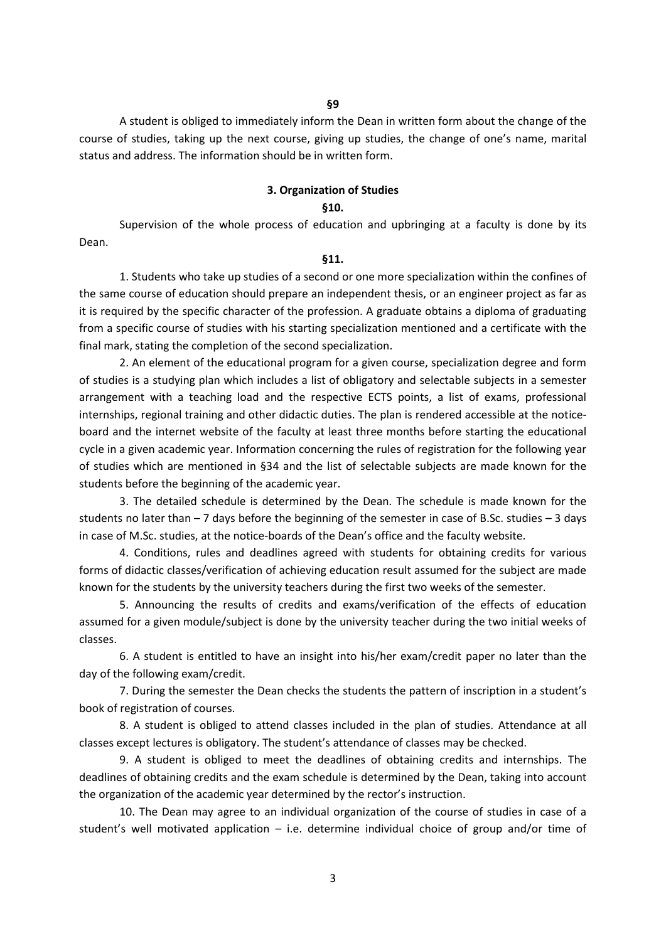A student is obliged to immediately inform the Dean in written form about the change of the course of studies, taking up the next course, giving up studies, the change of one's name, marital status and address. The information should be in written form.

## **3. Organization of Studies**

## **§10.**

Supervision of the whole process of education and upbringing at a faculty is done by its Dean.

#### **§11.**

1. Students who take up studies of a second or one more specialization within the confines of the same course of education should prepare an independent thesis, or an engineer project as far as it is required by the specific character of the profession. A graduate obtains a diploma of graduating from a specific course of studies with his starting specialization mentioned and a certificate with the final mark, stating the completion of the second specialization.

2. An element of the educational program for a given course, specialization degree and form of studies is a studying plan which includes a list of obligatory and selectable subjects in a semester arrangement with a teaching load and the respective ECTS points, a list of exams, professional internships, regional training and other didactic duties. The plan is rendered accessible at the noticeboard and the internet website of the faculty at least three months before starting the educational cycle in a given academic year. Information concerning the rules of registration for the following year of studies which are mentioned in §34 and the list of selectable subjects are made known for the students before the beginning of the academic year.

3. The detailed schedule is determined by the Dean. The schedule is made known for the students no later than – 7 days before the beginning of the semester in case of B.Sc. studies – 3 days in case of M.Sc. studies, at the notice-boards of the Dean's office and the faculty website.

4. Conditions, rules and deadlines agreed with students for obtaining credits for various forms of didactic classes/verification of achieving education result assumed for the subject are made known for the students by the university teachers during the first two weeks of the semester.

5. Announcing the results of credits and exams/verification of the effects of education assumed for a given module/subject is done by the university teacher during the two initial weeks of classes.

6. A student is entitled to have an insight into his/her exam/credit paper no later than the day of the following exam/credit.

7. During the semester the Dean checks the students the pattern of inscription in a student's book of registration of courses.

8. A student is obliged to attend classes included in the plan of studies. Attendance at all classes except lectures is obligatory. The student's attendance of classes may be checked.

9. A student is obliged to meet the deadlines of obtaining credits and internships. The deadlines of obtaining credits and the exam schedule is determined by the Dean, taking into account the organization of the academic year determined by the rector's instruction.

10. The Dean may agree to an individual organization of the course of studies in case of a student's well motivated application  $-$  i.e. determine individual choice of group and/or time of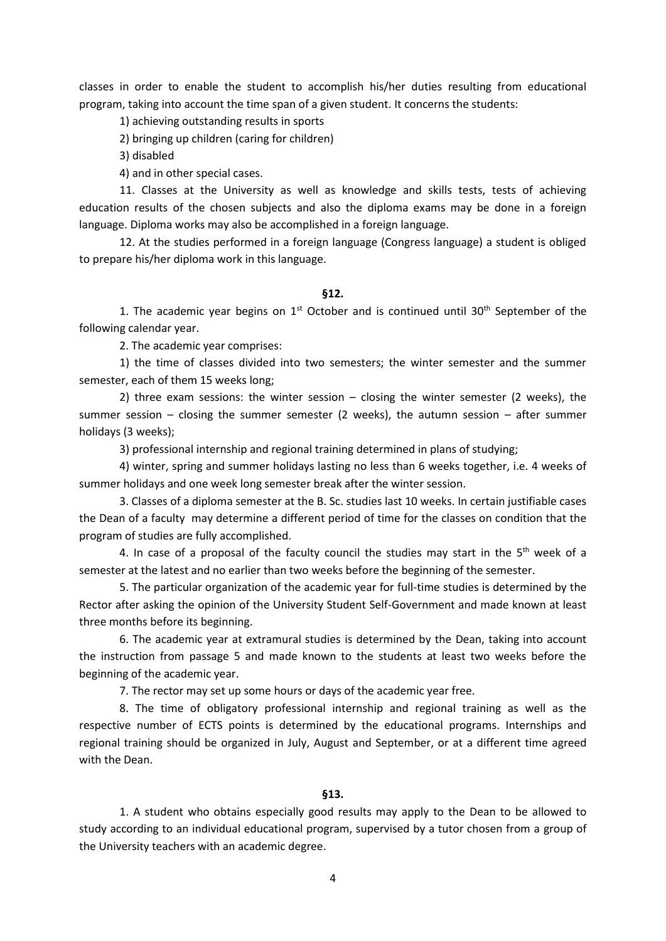classes in order to enable the student to accomplish his/her duties resulting from educational program, taking into account the time span of a given student. It concerns the students:

1) achieving outstanding results in sports

2) bringing up children (caring for children)

3) disabled

4) and in other special cases.

11. Classes at the University as well as knowledge and skills tests, tests of achieving education results of the chosen subjects and also the diploma exams may be done in a foreign language. Diploma works may also be accomplished in a foreign language.

12. At the studies performed in a foreign language (Congress language) a student is obliged to prepare his/her diploma work in this language.

#### **§12.**

1. The academic year begins on  $1<sup>st</sup>$  October and is continued until  $30<sup>th</sup>$  September of the following calendar year.

2. The academic year comprises:

1) the time of classes divided into two semesters; the winter semester and the summer semester, each of them 15 weeks long;

2) three exam sessions: the winter session – closing the winter semester (2 weeks), the summer session – closing the summer semester (2 weeks), the autumn session – after summer holidays (3 weeks);

3) professional internship and regional training determined in plans of studying;

4) winter, spring and summer holidays lasting no less than 6 weeks together, i.e. 4 weeks of summer holidays and one week long semester break after the winter session.

3. Classes of a diploma semester at the B. Sc. studies last 10 weeks. In certain justifiable cases the Dean of a faculty may determine a different period of time for the classes on condition that the program of studies are fully accomplished.

4. In case of a proposal of the faculty council the studies may start in the  $5<sup>th</sup>$  week of a semester at the latest and no earlier than two weeks before the beginning of the semester.

5. The particular organization of the academic year for full-time studies is determined by the Rector after asking the opinion of the University Student Self-Government and made known at least three months before its beginning.

6. The academic year at extramural studies is determined by the Dean, taking into account the instruction from passage 5 and made known to the students at least two weeks before the beginning of the academic year.

7. The rector may set up some hours or days of the academic year free.

8. The time of obligatory professional internship and regional training as well as the respective number of ECTS points is determined by the educational programs. Internships and regional training should be organized in July, August and September, or at a different time agreed with the Dean.

## **§13.**

1. A student who obtains especially good results may apply to the Dean to be allowed to study according to an individual educational program, supervised by a tutor chosen from a group of the University teachers with an academic degree.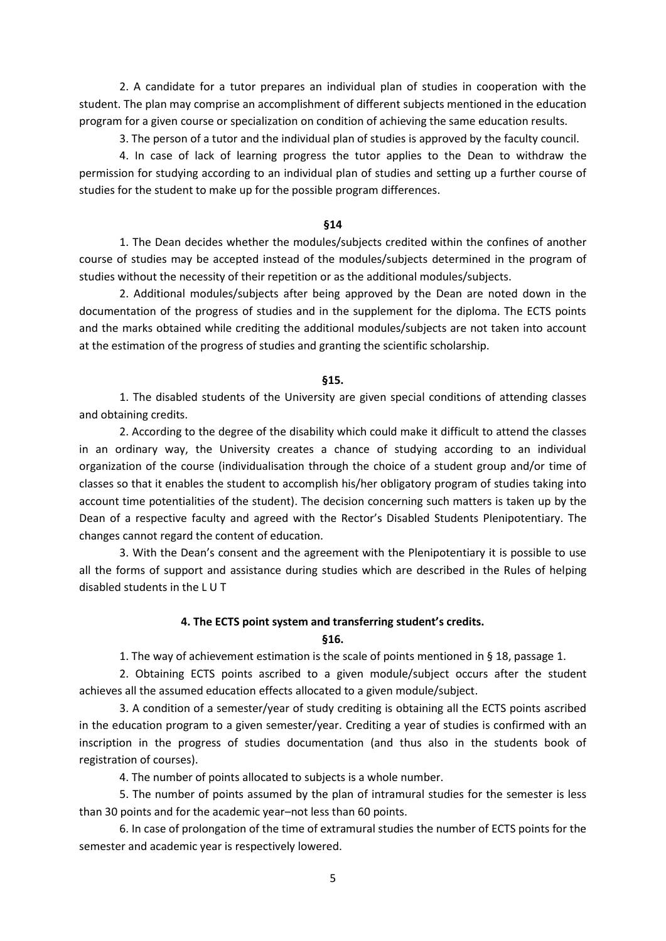2. A candidate for a tutor prepares an individual plan of studies in cooperation with the student. The plan may comprise an accomplishment of different subjects mentioned in the education program for a given course or specialization on condition of achieving the same education results.

3. The person of a tutor and the individual plan of studies is approved by the faculty council.

4. In case of lack of learning progress the tutor applies to the Dean to withdraw the permission for studying according to an individual plan of studies and setting up a further course of studies for the student to make up for the possible program differences.

#### **§14**

1. The Dean decides whether the modules/subjects credited within the confines of another course of studies may be accepted instead of the modules/subjects determined in the program of studies without the necessity of their repetition or as the additional modules/subjects.

2. Additional modules/subjects after being approved by the Dean are noted down in the documentation of the progress of studies and in the supplement for the diploma. The ECTS points and the marks obtained while crediting the additional modules/subjects are not taken into account at the estimation of the progress of studies and granting the scientific scholarship.

#### **§15.**

1. The disabled students of the University are given special conditions of attending classes and obtaining credits.

2. According to the degree of the disability which could make it difficult to attend the classes in an ordinary way, the University creates a chance of studying according to an individual organization of the course (individualisation through the choice of a student group and/or time of classes so that it enables the student to accomplish his/her obligatory program of studies taking into account time potentialities of the student). The decision concerning such matters is taken up by the Dean of a respective faculty and agreed with the Rector's Disabled Students Plenipotentiary. The changes cannot regard the content of education.

3. With the Dean's consent and the agreement with the Plenipotentiary it is possible to use all the forms of support and assistance during studies which are described in the Rules of helping disabled students in the L U T

#### **4. The ECTS point system and transferring student's credits.**

**§16.**

1. The way of achievement estimation is the scale of points mentioned in § 18, passage 1.

2. Obtaining ECTS points ascribed to a given module/subject occurs after the student achieves all the assumed education effects allocated to a given module/subject.

3. A condition of a semester/year of study crediting is obtaining all the ECTS points ascribed in the education program to a given semester/year. Crediting a year of studies is confirmed with an inscription in the progress of studies documentation (and thus also in the students book of registration of courses).

4. The number of points allocated to subjects is a whole number.

5. The number of points assumed by the plan of intramural studies for the semester is less than 30 points and for the academic year–not less than 60 points.

6. In case of prolongation of the time of extramural studies the number of ECTS points for the semester and academic year is respectively lowered.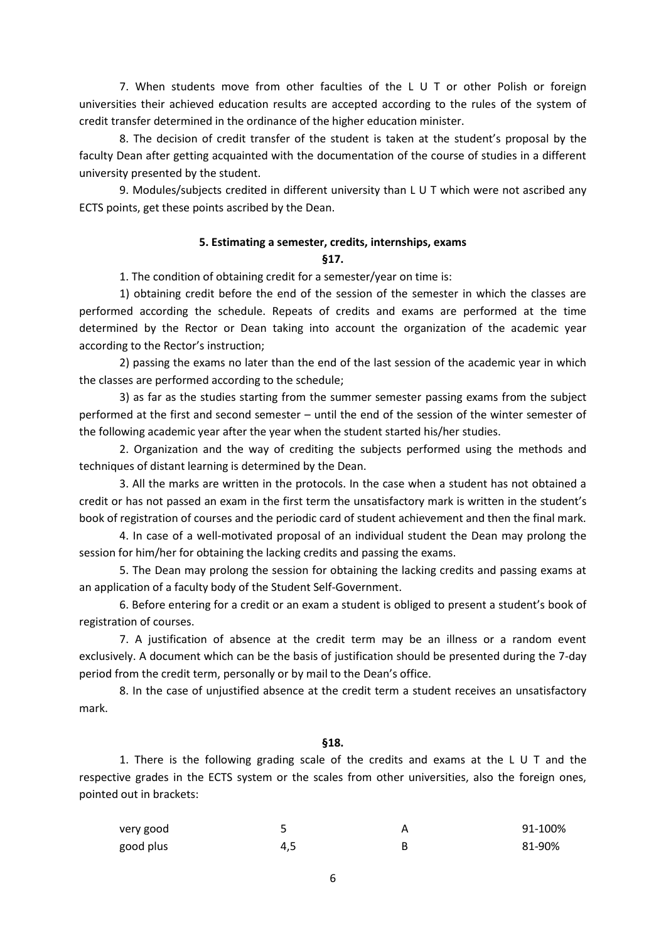7. When students move from other faculties of the L U T or other Polish or foreign universities their achieved education results are accepted according to the rules of the system of credit transfer determined in the ordinance of the higher education minister.

8. The decision of credit transfer of the student is taken at the student's proposal by the faculty Dean after getting acquainted with the documentation of the course of studies in a different university presented by the student.

9. Modules/subjects credited in different university than L U T which were not ascribed any ECTS points, get these points ascribed by the Dean.

## **5. Estimating a semester, credits, internships, exams §17.**

1. The condition of obtaining credit for a semester/year on time is:

1) obtaining credit before the end of the session of the semester in which the classes are performed according the schedule. Repeats of credits and exams are performed at the time determined by the Rector or Dean taking into account the organization of the academic year according to the Rector's instruction;

2) passing the exams no later than the end of the last session of the academic year in which the classes are performed according to the schedule;

3) as far as the studies starting from the summer semester passing exams from the subject performed at the first and second semester – until the end of the session of the winter semester of the following academic year after the year when the student started his/her studies.

2. Organization and the way of crediting the subjects performed using the methods and techniques of distant learning is determined by the Dean.

3. All the marks are written in the protocols. In the case when a student has not obtained a credit or has not passed an exam in the first term the unsatisfactory mark is written in the student's book of registration of courses and the periodic card of student achievement and then the final mark.

4. In case of a well-motivated proposal of an individual student the Dean may prolong the session for him/her for obtaining the lacking credits and passing the exams.

5. The Dean may prolong the session for obtaining the lacking credits and passing exams at an application of a faculty body of the Student Self-Government.

6. Before entering for a credit or an exam a student is obliged to present a student's book of registration of courses.

7. A justification of absence at the credit term may be an illness or a random event exclusively. A document which can be the basis of justification should be presented during the 7-day period from the credit term, personally or by mail to the Dean's office.

8. In the case of unjustified absence at the credit term a student receives an unsatisfactory mark.

## **§18.**

1. There is the following grading scale of the credits and exams at the L U T and the respective grades in the ECTS system or the scales from other universities, also the foreign ones, pointed out in brackets:

| very good |     | 91-100% |
|-----------|-----|---------|
| good plus | 4.5 | 81-90%  |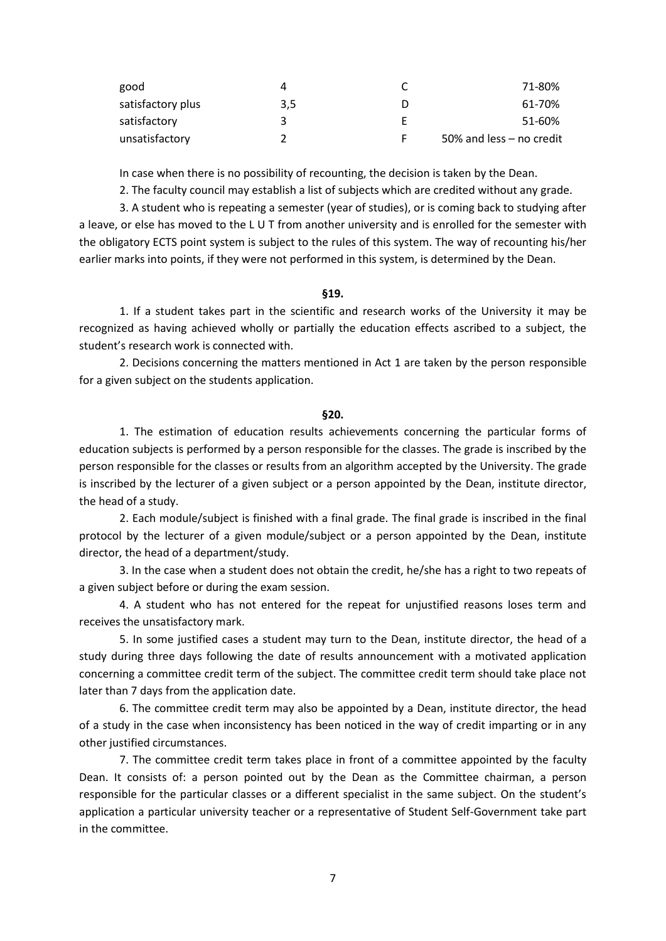| good              |     |   | 71-80%                     |
|-------------------|-----|---|----------------------------|
| satisfactory plus | 3.5 |   | 61-70%                     |
| satisfactory      |     |   | 51-60%                     |
| unsatisfactory    |     | F | 50% and less $-$ no credit |

In case when there is no possibility of recounting, the decision is taken by the Dean.

2. The faculty council may establish a list of subjects which are credited without any grade.

3. A student who is repeating a semester (year of studies), or is coming back to studying after a leave, or else has moved to the L U T from another university and is enrolled for the semester with the obligatory ECTS point system is subject to the rules of this system. The way of recounting his/her earlier marks into points, if they were not performed in this system, is determined by the Dean.

**§19.**

1. If a student takes part in the scientific and research works of the University it may be recognized as having achieved wholly or partially the education effects ascribed to a subject, the student's research work is connected with.

2. Decisions concerning the matters mentioned in Act 1 are taken by the person responsible for a given subject on the students application.

#### **§20.**

1. The estimation of education results achievements concerning the particular forms of education subjects is performed by a person responsible for the classes. The grade is inscribed by the person responsible for the classes or results from an algorithm accepted by the University. The grade is inscribed by the lecturer of a given subject or a person appointed by the Dean, institute director, the head of a study.

2. Each module/subject is finished with a final grade. The final grade is inscribed in the final protocol by the lecturer of a given module/subject or a person appointed by the Dean, institute director, the head of a department/study.

3. In the case when a student does not obtain the credit, he/she has a right to two repeats of a given subject before or during the exam session.

4. A student who has not entered for the repeat for unjustified reasons loses term and receives the unsatisfactory mark.

5. In some justified cases a student may turn to the Dean, institute director, the head of a study during three days following the date of results announcement with a motivated application concerning a committee credit term of the subject. The committee credit term should take place not later than 7 days from the application date.

6. The committee credit term may also be appointed by a Dean, institute director, the head of a study in the case when inconsistency has been noticed in the way of credit imparting or in any other justified circumstances.

7. The committee credit term takes place in front of a committee appointed by the faculty Dean. It consists of: a person pointed out by the Dean as the Committee chairman, a person responsible for the particular classes or a different specialist in the same subject. On the student's application a particular university teacher or a representative of Student Self-Government take part in the committee.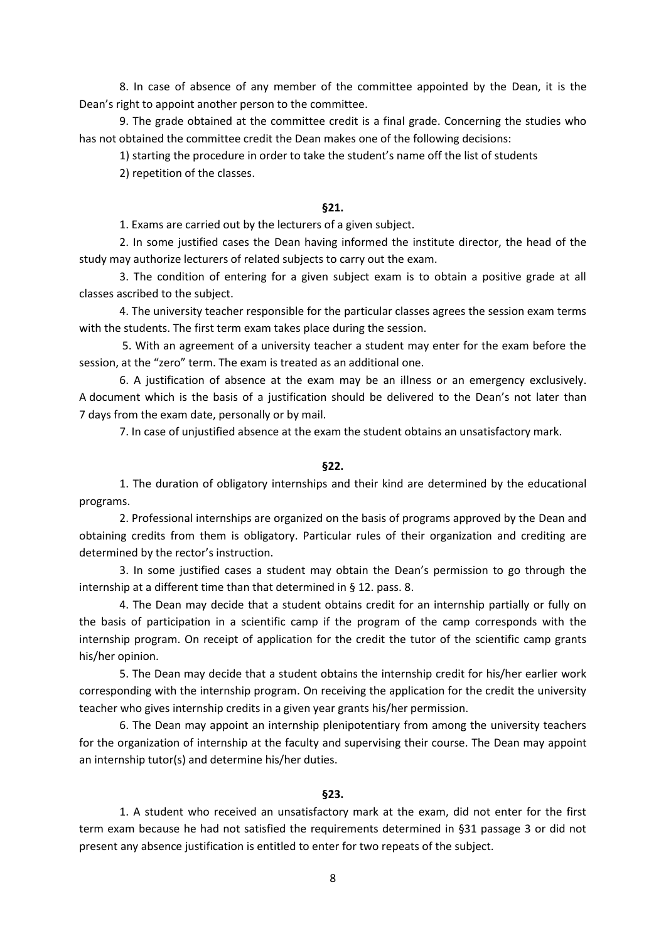8. In case of absence of any member of the committee appointed by the Dean, it is the Dean's right to appoint another person to the committee.

9. The grade obtained at the committee credit is a final grade. Concerning the studies who has not obtained the committee credit the Dean makes one of the following decisions:

1) starting the procedure in order to take the student's name off the list of students

2) repetition of the classes.

#### **§21.**

1. Exams are carried out by the lecturers of a given subject.

2. In some justified cases the Dean having informed the institute director, the head of the study may authorize lecturers of related subjects to carry out the exam.

3. The condition of entering for a given subject exam is to obtain a positive grade at all classes ascribed to the subject.

4. The university teacher responsible for the particular classes agrees the session exam terms with the students. The first term exam takes place during the session.

5. With an agreement of a university teacher a student may enter for the exam before the session, at the "zero" term. The exam is treated as an additional one.

6. A justification of absence at the exam may be an illness or an emergency exclusively. A document which is the basis of a justification should be delivered to the Dean's not later than 7 days from the exam date, personally or by mail.

7. In case of unjustified absence at the exam the student obtains an unsatisfactory mark.

## **§22.**

1. The duration of obligatory internships and their kind are determined by the educational programs.

2. Professional internships are organized on the basis of programs approved by the Dean and obtaining credits from them is obligatory. Particular rules of their organization and crediting are determined by the rector's instruction.

3. In some justified cases a student may obtain the Dean's permission to go through the internship at a different time than that determined in § 12. pass. 8.

4. The Dean may decide that a student obtains credit for an internship partially or fully on the basis of participation in a scientific camp if the program of the camp corresponds with the internship program. On receipt of application for the credit the tutor of the scientific camp grants his/her opinion.

5. The Dean may decide that a student obtains the internship credit for his/her earlier work corresponding with the internship program. On receiving the application for the credit the university teacher who gives internship credits in a given year grants his/her permission.

6. The Dean may appoint an internship plenipotentiary from among the university teachers for the organization of internship at the faculty and supervising their course. The Dean may appoint an internship tutor(s) and determine his/her duties.

## **§23.**

1. A student who received an unsatisfactory mark at the exam, did not enter for the first term exam because he had not satisfied the requirements determined in §31 passage 3 or did not present any absence justification is entitled to enter for two repeats of the subject.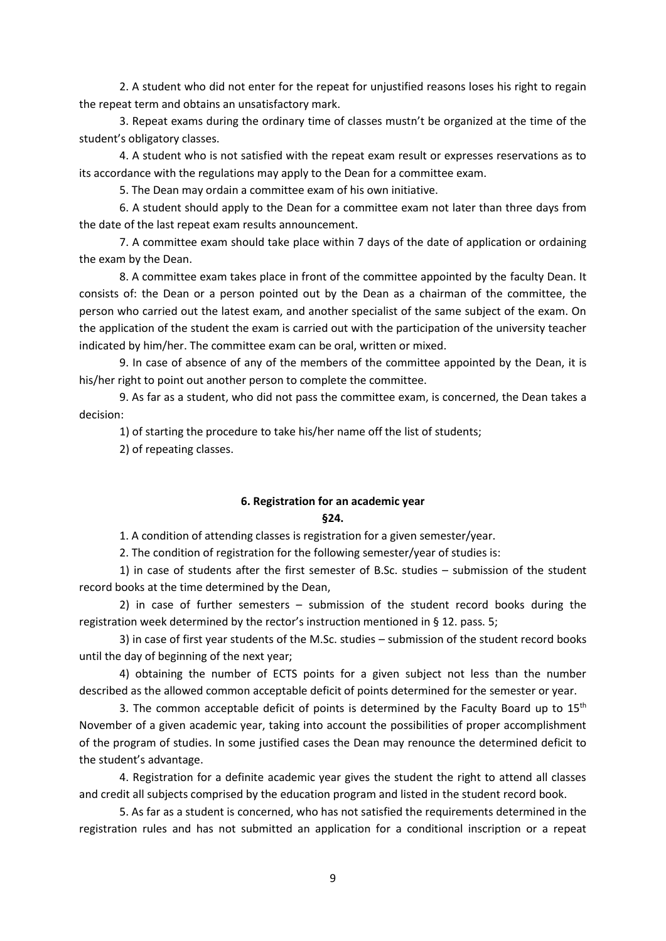2. A student who did not enter for the repeat for unjustified reasons loses his right to regain the repeat term and obtains an unsatisfactory mark.

3. Repeat exams during the ordinary time of classes mustn't be organized at the time of the student's obligatory classes.

4. A student who is not satisfied with the repeat exam result or expresses reservations as to its accordance with the regulations may apply to the Dean for a committee exam.

5. The Dean may ordain a committee exam of his own initiative.

6. A student should apply to the Dean for a committee exam not later than three days from the date of the last repeat exam results announcement.

7. A committee exam should take place within 7 days of the date of application or ordaining the exam by the Dean.

8. A committee exam takes place in front of the committee appointed by the faculty Dean. It consists of: the Dean or a person pointed out by the Dean as a chairman of the committee, the person who carried out the latest exam, and another specialist of the same subject of the exam. On the application of the student the exam is carried out with the participation of the university teacher indicated by him/her. The committee exam can be oral, written or mixed.

9. In case of absence of any of the members of the committee appointed by the Dean, it is his/her right to point out another person to complete the committee.

9. As far as a student, who did not pass the committee exam, is concerned, the Dean takes a decision:

1) of starting the procedure to take his/her name off the list of students;

2) of repeating classes.

### **6. Registration for an academic year §24.**

1. A condition of attending classes is registration for a given semester/year.

2. The condition of registration for the following semester/year of studies is:

1) in case of students after the first semester of B.Sc. studies – submission of the student record books at the time determined by the Dean,

2) in case of further semesters – submission of the student record books during the registration week determined by the rector's instruction mentioned in § 12. pass. 5;

3) in case of first year students of the M.Sc. studies – submission of the student record books until the day of beginning of the next year;

4) obtaining the number of ECTS points for a given subject not less than the number described as the allowed common acceptable deficit of points determined for the semester or year.

3. The common acceptable deficit of points is determined by the Faculty Board up to  $15<sup>th</sup>$ November of a given academic year, taking into account the possibilities of proper accomplishment of the program of studies. In some justified cases the Dean may renounce the determined deficit to the student's advantage.

4. Registration for a definite academic year gives the student the right to attend all classes and credit all subjects comprised by the education program and listed in the student record book.

5. As far as a student is concerned, who has not satisfied the requirements determined in the registration rules and has not submitted an application for a conditional inscription or a repeat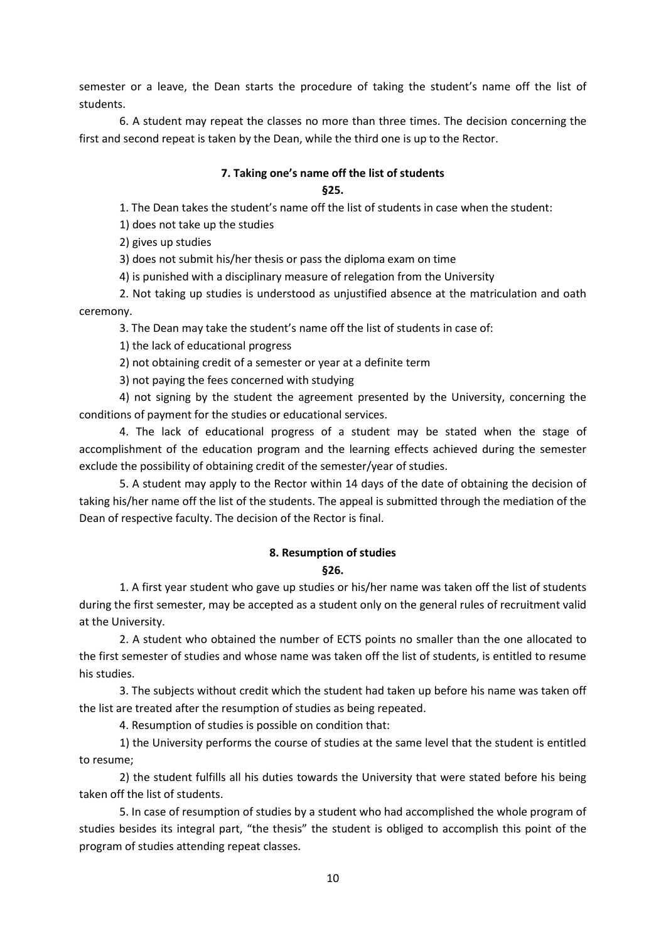semester or a leave, the Dean starts the procedure of taking the student's name off the list of students.

6. A student may repeat the classes no more than three times. The decision concerning the first and second repeat is taken by the Dean, while the third one is up to the Rector.

# **7. Taking one's name off the list of students**

## **§25.**

1. The Dean takes the student's name off the list of students in case when the student:

1) does not take up the studies

2) gives up studies

3) does not submit his/her thesis or pass the diploma exam on time

4) is punished with a disciplinary measure of relegation from the University

2. Not taking up studies is understood as unjustified absence at the matriculation and oath ceremony.

3. The Dean may take the student's name off the list of students in case of:

1) the lack of educational progress

2) not obtaining credit of a semester or year at a definite term

3) not paying the fees concerned with studying

4) not signing by the student the agreement presented by the University, concerning the conditions of payment for the studies or educational services.

4. The lack of educational progress of a student may be stated when the stage of accomplishment of the education program and the learning effects achieved during the semester exclude the possibility of obtaining credit of the semester/year of studies.

5. A student may apply to the Rector within 14 days of the date of obtaining the decision of taking his/her name off the list of the students. The appeal is submitted through the mediation of the Dean of respective faculty. The decision of the Rector is final.

# **8. Resumption of studies**

**§26.**

1. A first year student who gave up studies or his/her name was taken off the list of students during the first semester, may be accepted as a student only on the general rules of recruitment valid at the University.

2. A student who obtained the number of ECTS points no smaller than the one allocated to the first semester of studies and whose name was taken off the list of students, is entitled to resume his studies.

3. The subjects without credit which the student had taken up before his name was taken off the list are treated after the resumption of studies as being repeated.

4. Resumption of studies is possible on condition that:

1) the University performs the course of studies at the same level that the student is entitled to resume;

2) the student fulfills all his duties towards the University that were stated before his being taken off the list of students.

5. In case of resumption of studies by a student who had accomplished the whole program of studies besides its integral part, "the thesis" the student is obliged to accomplish this point of the program of studies attending repeat classes.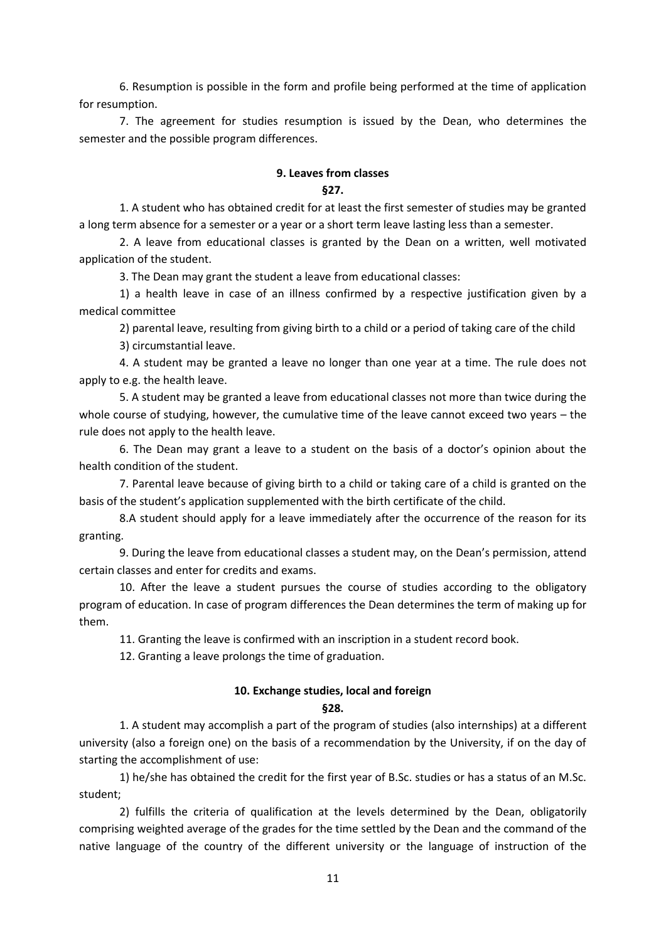6. Resumption is possible in the form and profile being performed at the time of application for resumption.

7. The agreement for studies resumption is issued by the Dean, who determines the semester and the possible program differences.

#### **9. Leaves from classes**

#### **§27.**

1. A student who has obtained credit for at least the first semester of studies may be granted a long term absence for a semester or a year or a short term leave lasting less than a semester.

2. A leave from educational classes is granted by the Dean on a written, well motivated application of the student.

3. The Dean may grant the student a leave from educational classes:

1) a health leave in case of an illness confirmed by a respective justification given by a medical committee

2) parental leave, resulting from giving birth to a child or a period of taking care of the child

3) circumstantial leave.

4. A student may be granted a leave no longer than one year at a time. The rule does not apply to e.g. the health leave.

5. A student may be granted a leave from educational classes not more than twice during the whole course of studying, however, the cumulative time of the leave cannot exceed two years – the rule does not apply to the health leave.

6. The Dean may grant a leave to a student on the basis of a doctor's opinion about the health condition of the student.

7. Parental leave because of giving birth to a child or taking care of a child is granted on the basis of the student's application supplemented with the birth certificate of the child.

8.A student should apply for a leave immediately after the occurrence of the reason for its granting.

9. During the leave from educational classes a student may, on the Dean's permission, attend certain classes and enter for credits and exams.

10. After the leave a student pursues the course of studies according to the obligatory program of education. In case of program differences the Dean determines the term of making up for them.

11. Granting the leave is confirmed with an inscription in a student record book.

12. Granting a leave prolongs the time of graduation.

## **10. Exchange studies, local and foreign**

## **§28.**

1. A student may accomplish a part of the program of studies (also internships) at a different university (also a foreign one) on the basis of a recommendation by the University, if on the day of starting the accomplishment of use:

1) he/she has obtained the credit for the first year of B.Sc. studies or has a status of an M.Sc. student;

2) fulfills the criteria of qualification at the levels determined by the Dean, obligatorily comprising weighted average of the grades for the time settled by the Dean and the command of the native language of the country of the different university or the language of instruction of the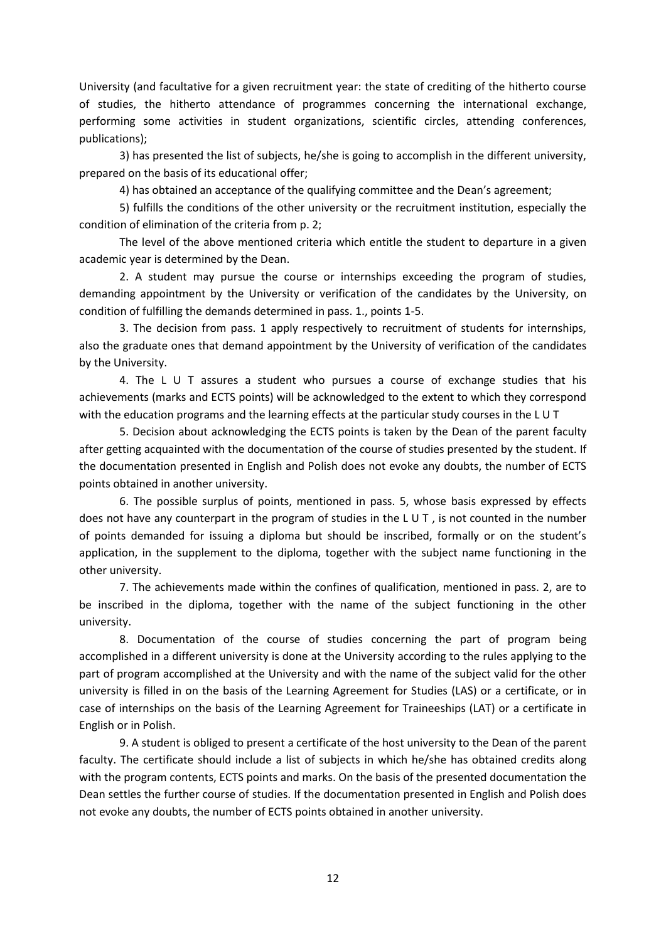University (and facultative for a given recruitment year: the state of crediting of the hitherto course of studies, the hitherto attendance of programmes concerning the international exchange, performing some activities in student organizations, scientific circles, attending conferences, publications);

3) has presented the list of subjects, he/she is going to accomplish in the different university, prepared on the basis of its educational offer;

4) has obtained an acceptance of the qualifying committee and the Dean's agreement;

5) fulfills the conditions of the other university or the recruitment institution, especially the condition of elimination of the criteria from p. 2;

The level of the above mentioned criteria which entitle the student to departure in a given academic year is determined by the Dean.

2. A student may pursue the course or internships exceeding the program of studies, demanding appointment by the University or verification of the candidates by the University, on condition of fulfilling the demands determined in pass. 1., points 1-5.

3. The decision from pass. 1 apply respectively to recruitment of students for internships, also the graduate ones that demand appointment by the University of verification of the candidates by the University.

4. The L U T assures a student who pursues a course of exchange studies that his achievements (marks and ECTS points) will be acknowledged to the extent to which they correspond with the education programs and the learning effects at the particular study courses in the L U T

5. Decision about acknowledging the ECTS points is taken by the Dean of the parent faculty after getting acquainted with the documentation of the course of studies presented by the student. If the documentation presented in English and Polish does not evoke any doubts, the number of ECTS points obtained in another university.

6. The possible surplus of points, mentioned in pass. 5, whose basis expressed by effects does not have any counterpart in the program of studies in the L U T , is not counted in the number of points demanded for issuing a diploma but should be inscribed, formally or on the student's application, in the supplement to the diploma, together with the subject name functioning in the other university.

7. The achievements made within the confines of qualification, mentioned in pass. 2, are to be inscribed in the diploma, together with the name of the subject functioning in the other university.

8. Documentation of the course of studies concerning the part of program being accomplished in a different university is done at the University according to the rules applying to the part of program accomplished at the University and with the name of the subject valid for the other university is filled in on the basis of the Learning Agreement for Studies (LAS) or a certificate, or in case of internships on the basis of the Learning Agreement for Traineeships (LAT) or a certificate in English or in Polish.

9. A student is obliged to present a certificate of the host university to the Dean of the parent faculty. The certificate should include a list of subjects in which he/she has obtained credits along with the program contents, ECTS points and marks. On the basis of the presented documentation the Dean settles the further course of studies. If the documentation presented in English and Polish does not evoke any doubts, the number of ECTS points obtained in another university.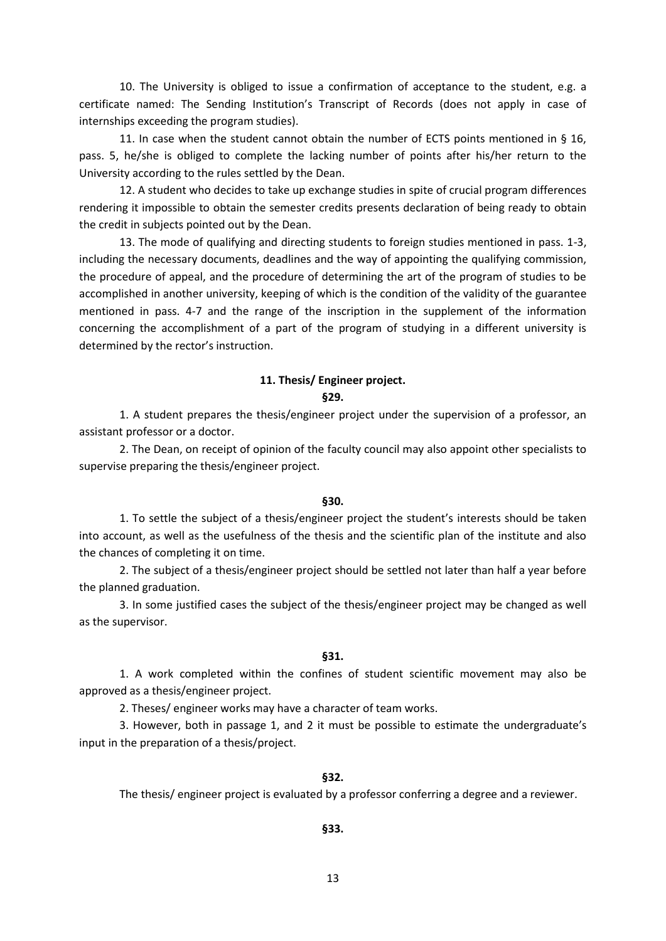10. The University is obliged to issue a confirmation of acceptance to the student, e.g. a certificate named: The Sending Institution's Transcript of Records (does not apply in case of internships exceeding the program studies).

11. In case when the student cannot obtain the number of ECTS points mentioned in § 16, pass. 5, he/she is obliged to complete the lacking number of points after his/her return to the University according to the rules settled by the Dean.

12. A student who decides to take up exchange studies in spite of crucial program differences rendering it impossible to obtain the semester credits presents declaration of being ready to obtain the credit in subjects pointed out by the Dean.

13. The mode of qualifying and directing students to foreign studies mentioned in pass. 1-3, including the necessary documents, deadlines and the way of appointing the qualifying commission, the procedure of appeal, and the procedure of determining the art of the program of studies to be accomplished in another university, keeping of which is the condition of the validity of the guarantee mentioned in pass. 4-7 and the range of the inscription in the supplement of the information concerning the accomplishment of a part of the program of studying in a different university is determined by the rector's instruction.

#### **11. Thesis/ Engineer project.**

#### **§29.**

1. A student prepares the thesis/engineer project under the supervision of a professor, an assistant professor or a doctor.

2. The Dean, on receipt of opinion of the faculty council may also appoint other specialists to supervise preparing the thesis/engineer project.

#### **§30.**

1. To settle the subject of a thesis/engineer project the student's interests should be taken into account, as well as the usefulness of the thesis and the scientific plan of the institute and also the chances of completing it on time.

2. The subject of a thesis/engineer project should be settled not later than half a year before the planned graduation.

3. In some justified cases the subject of the thesis/engineer project may be changed as well as the supervisor.

## **§31.**

1. A work completed within the confines of student scientific movement may also be approved as a thesis/engineer project.

2. Theses/ engineer works may have a character of team works.

3. However, both in passage 1, and 2 it must be possible to estimate the undergraduate's input in the preparation of a thesis/project.

#### **§32.**

The thesis/ engineer project is evaluated by a professor conferring a degree and a reviewer.

## **§33.**

13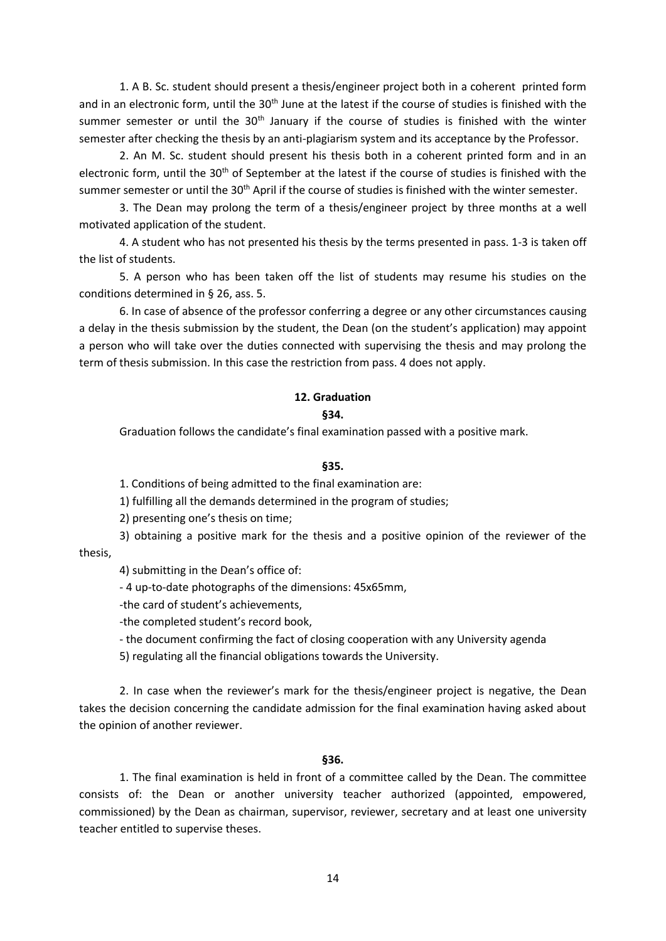1. A B. Sc. student should present a thesis/engineer project both in a coherent printed form and in an electronic form, until the 30<sup>th</sup> June at the latest if the course of studies is finished with the summer semester or until the  $30<sup>th</sup>$  January if the course of studies is finished with the winter semester after checking the thesis by an anti-plagiarism system and its acceptance by the Professor.

2. An M. Sc. student should present his thesis both in a coherent printed form and in an electronic form, until the 30<sup>th</sup> of September at the latest if the course of studies is finished with the summer semester or until the 30<sup>th</sup> April if the course of studies is finished with the winter semester.

3. The Dean may prolong the term of a thesis/engineer project by three months at a well motivated application of the student.

4. A student who has not presented his thesis by the terms presented in pass. 1-3 is taken off the list of students.

5. A person who has been taken off the list of students may resume his studies on the conditions determined in § 26, ass. 5.

6. In case of absence of the professor conferring a degree or any other circumstances causing a delay in the thesis submission by the student, the Dean (on the student's application) may appoint a person who will take over the duties connected with supervising the thesis and may prolong the term of thesis submission. In this case the restriction from pass. 4 does not apply.

## **12. Graduation**

#### **§34.**

Graduation follows the candidate's final examination passed with a positive mark.

#### **§35.**

1. Conditions of being admitted to the final examination are:

1) fulfilling all the demands determined in the program of studies;

2) presenting one's thesis on time;

3) obtaining a positive mark for the thesis and a positive opinion of the reviewer of the

thesis,

4) submitting in the Dean's office of:

- 4 up-to-date photographs of the dimensions: 45x65mm,

-the card of student's achievements,

-the completed student's record book,

- the document confirming the fact of closing cooperation with any University agenda

5) regulating all the financial obligations towards the University.

2. In case when the reviewer's mark for the thesis/engineer project is negative, the Dean takes the decision concerning the candidate admission for the final examination having asked about the opinion of another reviewer.

#### **§36.**

1. The final examination is held in front of a committee called by the Dean. The committee consists of: the Dean or another university teacher authorized (appointed, empowered, commissioned) by the Dean as chairman, supervisor, reviewer, secretary and at least one university teacher entitled to supervise theses.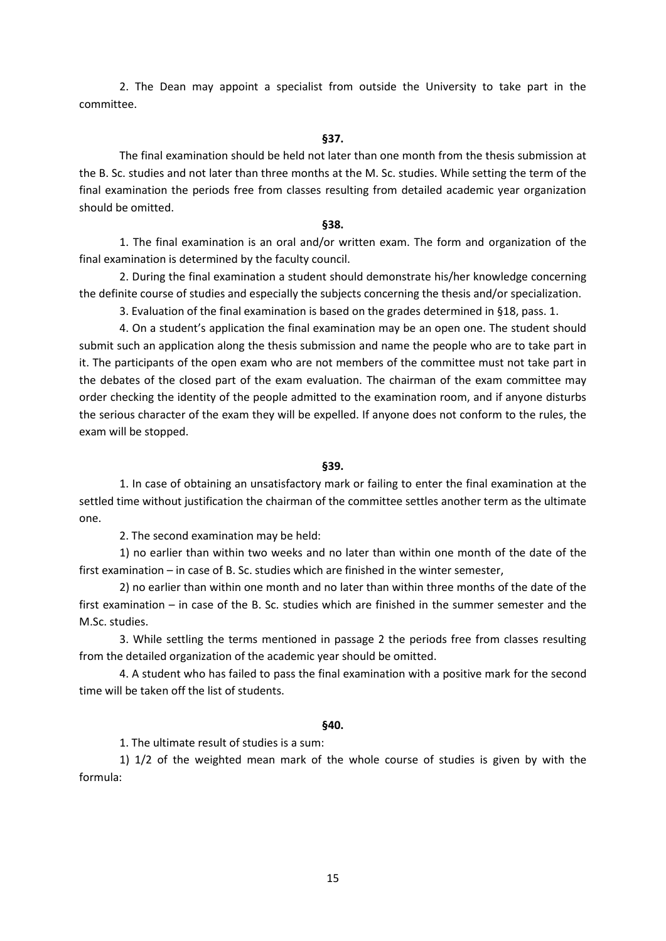2. The Dean may appoint a specialist from outside the University to take part in the committee.

#### **§37.**

The final examination should be held not later than one month from the thesis submission at the B. Sc. studies and not later than three months at the M. Sc. studies. While setting the term of the final examination the periods free from classes resulting from detailed academic year organization should be omitted.

#### **§38.**

1. The final examination is an oral and/or written exam. The form and organization of the final examination is determined by the faculty council.

2. During the final examination a student should demonstrate his/her knowledge concerning the definite course of studies and especially the subjects concerning the thesis and/or specialization.

3. Evaluation of the final examination is based on the grades determined in §18, pass. 1.

4. On a student's application the final examination may be an open one. The student should submit such an application along the thesis submission and name the people who are to take part in it. The participants of the open exam who are not members of the committee must not take part in the debates of the closed part of the exam evaluation. The chairman of the exam committee may order checking the identity of the people admitted to the examination room, and if anyone disturbs the serious character of the exam they will be expelled. If anyone does not conform to the rules, the exam will be stopped.

## **§39.**

1. In case of obtaining an unsatisfactory mark or failing to enter the final examination at the settled time without justification the chairman of the committee settles another term as the ultimate one.

2. The second examination may be held:

1) no earlier than within two weeks and no later than within one month of the date of the first examination – in case of B. Sc. studies which are finished in the winter semester,

2) no earlier than within one month and no later than within three months of the date of the first examination – in case of the B. Sc. studies which are finished in the summer semester and the M.Sc. studies.

3. While settling the terms mentioned in passage 2 the periods free from classes resulting from the detailed organization of the academic year should be omitted.

4. A student who has failed to pass the final examination with a positive mark for the second time will be taken off the list of students.

## **§40.**

1. The ultimate result of studies is a sum:

1) 1/2 of the weighted mean mark of the whole course of studies is given by with the formula: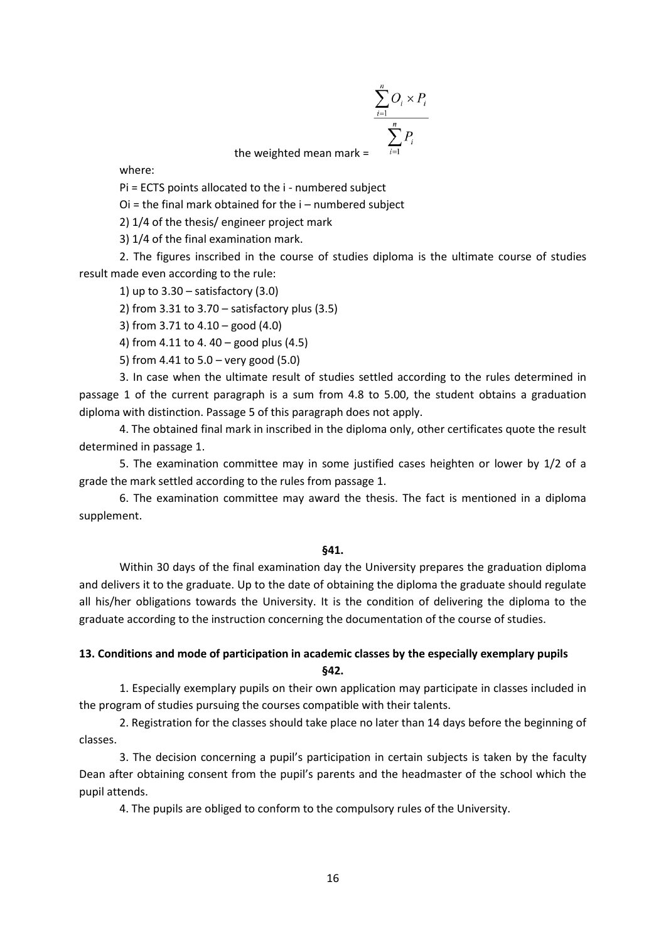$$
\sum_{i=1}^{n} O_i \times P_i
$$
  
the weighted mean mark = 
$$
\sum_{i=1}^{n} P_i
$$

where:

Pi = ECTS points allocated to the i - numbered subject

Oi = the final mark obtained for the i – numbered subject

2) 1/4 of the thesis/ engineer project mark

3) 1/4 of the final examination mark.

2. The figures inscribed in the course of studies diploma is the ultimate course of studies result made even according to the rule:

1) up to  $3.30 -$  satisfactory  $(3.0)$ 

2) from 3.31 to 3.70 – satisfactory plus (3.5)

3) from 3.71 to 4.10 – good (4.0)

4) from 4.11 to 4. 40 – good plus (4.5)

5) from 4.41 to 5.0 – very good (5.0)

3. In case when the ultimate result of studies settled according to the rules determined in passage 1 of the current paragraph is a sum from 4.8 to 5.00, the student obtains a graduation diploma with distinction. Passage 5 of this paragraph does not apply.

4. The obtained final mark in inscribed in the diploma only, other certificates quote the result determined in passage 1.

5. The examination committee may in some justified cases heighten or lower by 1/2 of a grade the mark settled according to the rules from passage 1.

6. The examination committee may award the thesis. The fact is mentioned in a diploma supplement.

#### **§41.**

Within 30 days of the final examination day the University prepares the graduation diploma and delivers it to the graduate. Up to the date of obtaining the diploma the graduate should regulate all his/her obligations towards the University. It is the condition of delivering the diploma to the graduate according to the instruction concerning the documentation of the course of studies.

# **13. Conditions and mode of participation in academic classes by the especially exemplary pupils §42.**

1. Especially exemplary pupils on their own application may participate in classes included in the program of studies pursuing the courses compatible with their talents.

2. Registration for the classes should take place no later than 14 days before the beginning of classes.

3. The decision concerning a pupil's participation in certain subjects is taken by the faculty Dean after obtaining consent from the pupil's parents and the headmaster of the school which the pupil attends.

4. The pupils are obliged to conform to the compulsory rules of the University.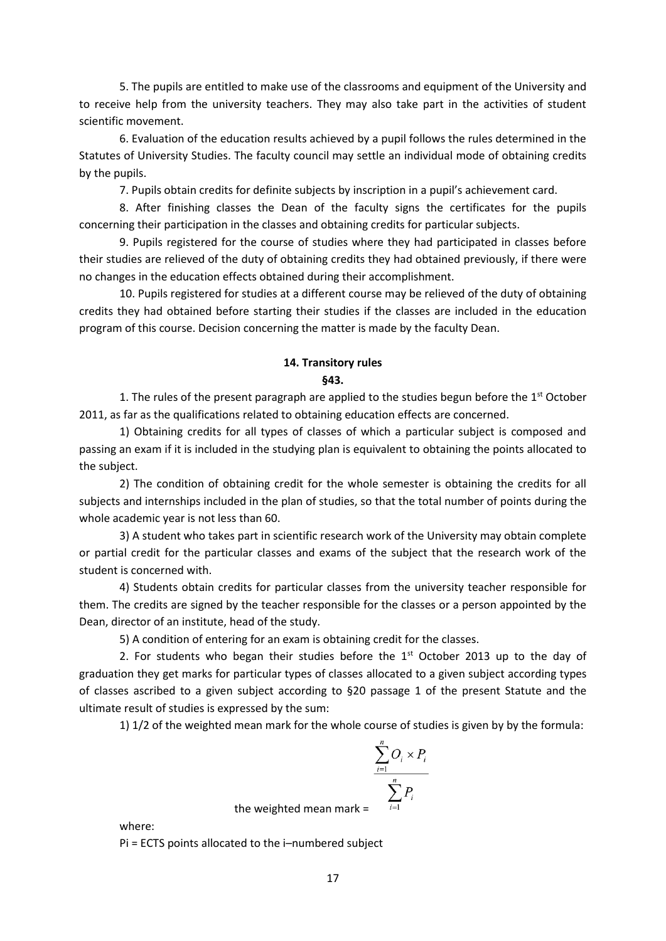5. The pupils are entitled to make use of the classrooms and equipment of the University and to receive help from the university teachers. They may also take part in the activities of student scientific movement.

6. Evaluation of the education results achieved by a pupil follows the rules determined in the Statutes of University Studies. The faculty council may settle an individual mode of obtaining credits by the pupils.

7. Pupils obtain credits for definite subjects by inscription in a pupil's achievement card.

8. After finishing classes the Dean of the faculty signs the certificates for the pupils concerning their participation in the classes and obtaining credits for particular subjects.

9. Pupils registered for the course of studies where they had participated in classes before their studies are relieved of the duty of obtaining credits they had obtained previously, if there were no changes in the education effects obtained during their accomplishment.

10. Pupils registered for studies at a different course may be relieved of the duty of obtaining credits they had obtained before starting their studies if the classes are included in the education program of this course. Decision concerning the matter is made by the faculty Dean.

# **14. Transitory rules §43.**

1. The rules of the present paragraph are applied to the studies begun before the  $1<sup>st</sup>$  October 2011, as far as the qualifications related to obtaining education effects are concerned.

1) Obtaining credits for all types of classes of which a particular subject is composed and passing an exam if it is included in the studying plan is equivalent to obtaining the points allocated to the subject.

2) The condition of obtaining credit for the whole semester is obtaining the credits for all subjects and internships included in the plan of studies, so that the total number of points during the whole academic year is not less than 60.

3) A student who takes part in scientific research work of the University may obtain complete or partial credit for the particular classes and exams of the subject that the research work of the student is concerned with.

4) Students obtain credits for particular classes from the university teacher responsible for them. The credits are signed by the teacher responsible for the classes or a person appointed by the Dean, director of an institute, head of the study.

5) A condition of entering for an exam is obtaining credit for the classes.

2. For students who began their studies before the  $1<sup>st</sup>$  October 2013 up to the day of graduation they get marks for particular types of classes allocated to a given subject according types of classes ascribed to a given subject according to §20 passage 1 of the present Statute and the ultimate result of studies is expressed by the sum:

1) 1/2 of the weighted mean mark for the whole course of studies is given by by the formula:

$$
\sum_{i=1}^{n} O_i \times P_i
$$
  
the weighted mean mark = 
$$
\sum_{i=1}^{n} P_i
$$

where:

Pi = ECTS points allocated to the i–numbered subject